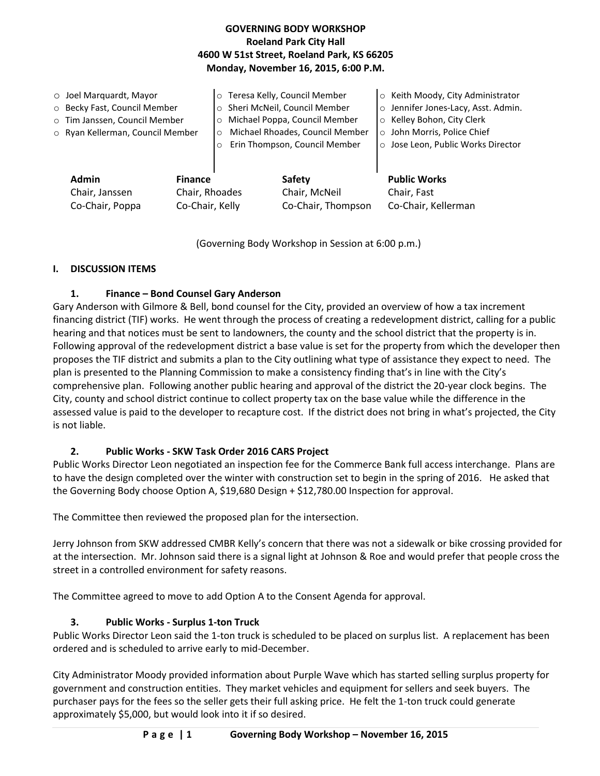## **GOVERNING BODY WORKSHOP Roeland Park City Hall 4600 W 51st Street, Roeland Park, KS 66205 Monday, November 16, 2015, 6:00 P.M.**

| $\circ$ Joel Marquardt, Mayor<br>o Becky Fast, Council Member<br>o Tim Janssen, Council Member<br>o Ryan Kellerman, Council Member |                                                     | Teresa Kelly, Council Member<br>$\circ$<br>Sheri McNeil, Council Member<br>$\circ$<br>Michael Poppa, Council Member<br>$\circ$<br>Michael Rhoades, Council Member<br>$\circ$<br>Erin Thompson, Council Member |                                               | ○ Keith Moody, City Administrator<br>o Jennifer Jones-Lacy, Asst. Admin.<br>o Kelley Bohon, City Clerk<br>o John Morris, Police Chief<br>o Jose Leon, Public Works Director |
|------------------------------------------------------------------------------------------------------------------------------------|-----------------------------------------------------|---------------------------------------------------------------------------------------------------------------------------------------------------------------------------------------------------------------|-----------------------------------------------|-----------------------------------------------------------------------------------------------------------------------------------------------------------------------------|
| <b>Admin</b><br>Chair, Janssen<br>Co-Chair, Poppa                                                                                  | <b>Finance</b><br>Chair, Rhoades<br>Co-Chair, Kelly |                                                                                                                                                                                                               | Safety<br>Chair, McNeil<br>Co-Chair, Thompson | <b>Public Works</b><br>Chair, Fast<br>Co-Chair, Kellerman                                                                                                                   |

(Governing Body Workshop in Session at 6:00 p.m.)

## **I. DISCUSSION ITEMS**

## **1. Finance – Bond Counsel Gary Anderson**

Gary Anderson with Gilmore & Bell, bond counsel for the City, provided an overview of how a tax increment financing district (TIF) works. He went through the process of creating a redevelopment district, calling for a public hearing and that notices must be sent to landowners, the county and the school district that the property is in. Following approval of the redevelopment district a base value is set for the property from which the developer then proposes the TIF district and submits a plan to the City outlining what type of assistance they expect to need. The plan is presented to the Planning Commission to make a consistency finding that's in line with the City's comprehensive plan. Following another public hearing and approval of the district the 20-year clock begins. The City, county and school district continue to collect property tax on the base value while the difference in the assessed value is paid to the developer to recapture cost. If the district does not bring in what's projected, the City is not liable.

# **2. Public Works - SKW Task Order 2016 CARS Project**

Public Works Director Leon negotiated an inspection fee for the Commerce Bank full access interchange. Plans are to have the design completed over the winter with construction set to begin in the spring of 2016. He asked that the Governing Body choose Option A, \$19,680 Design + \$12,780.00 Inspection for approval.

The Committee then reviewed the proposed plan for the intersection.

Jerry Johnson from SKW addressed CMBR Kelly's concern that there was not a sidewalk or bike crossing provided for at the intersection. Mr. Johnson said there is a signal light at Johnson & Roe and would prefer that people cross the street in a controlled environment for safety reasons.

The Committee agreed to move to add Option A to the Consent Agenda for approval.

# **3. Public Works - Surplus 1-ton Truck**

Public Works Director Leon said the 1-ton truck is scheduled to be placed on surplus list. A replacement has been ordered and is scheduled to arrive early to mid-December.

City Administrator Moody provided information about Purple Wave which has started selling surplus property for government and construction entities. They market vehicles and equipment for sellers and seek buyers. The purchaser pays for the fees so the seller gets their full asking price. He felt the 1-ton truck could generate approximately \$5,000, but would look into it if so desired.